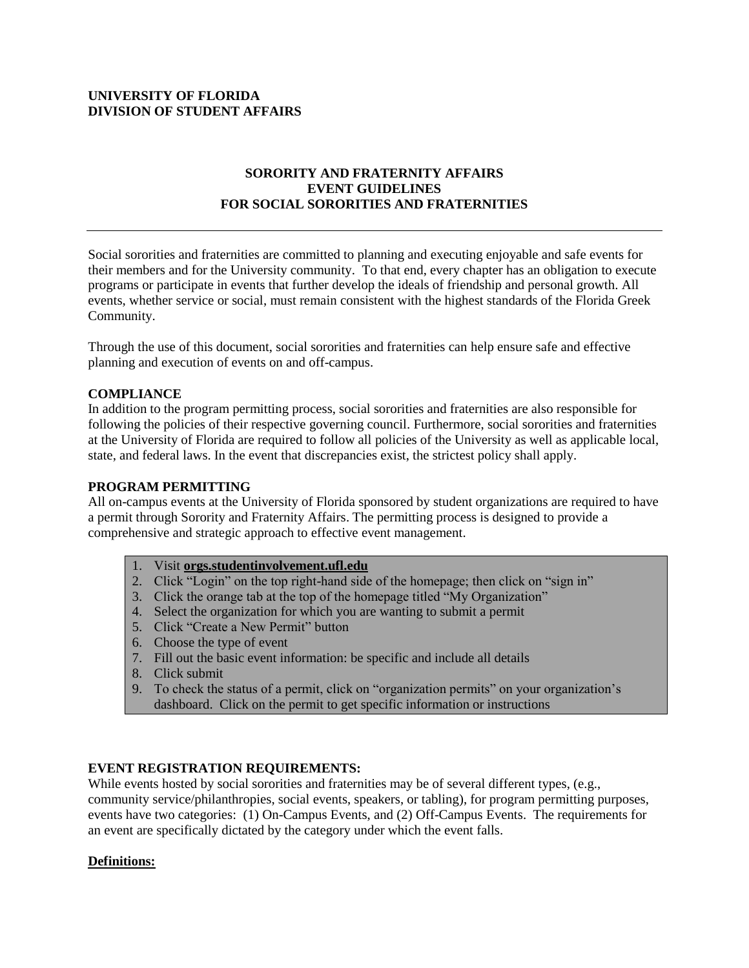### **UNIVERSITY OF FLORIDA DIVISION OF STUDENT AFFAIRS**

# **SORORITY AND FRATERNITY AFFAIRS EVENT GUIDELINES FOR SOCIAL SORORITIES AND FRATERNITIES**

Social sororities and fraternities are committed to planning and executing enjoyable and safe events for their members and for the University community. To that end, every chapter has an obligation to execute programs or participate in events that further develop the ideals of friendship and personal growth. All events, whether service or social, must remain consistent with the highest standards of the Florida Greek Community.

Through the use of this document, social sororities and fraternities can help ensure safe and effective planning and execution of events on and off-campus.

## **COMPLIANCE**

In addition to the program permitting process, social sororities and fraternities are also responsible for following the policies of their respective governing council. Furthermore, social sororities and fraternities at the University of Florida are required to follow all policies of the University as well as applicable local, state, and federal laws. In the event that discrepancies exist, the strictest policy shall apply.

#### **PROGRAM PERMITTING**

All on-campus events at the University of Florida sponsored by student organizations are required to have a permit through Sorority and Fraternity Affairs. The permitting process is designed to provide a comprehensive and strategic approach to effective event management.

- 1. Visit **<orgs.studentinvolvement.ufl.edu>**
- 2. Click "Login" on the top right-hand side of the homepage; then click on "sign in"
- 3. Click the orange tab at the top of the homepage titled "My Organization"
- 4. Select the organization for which you are wanting to submit a permit
- 5. Click "Create a New Permit" button
- 6. Choose the type of event
- 7. Fill out the basic event information: be specific and include all details
- 8. Click submit
- 9. To check the status of a permit, click on "organization permits" on your organization's dashboard. Click on the permit to get specific information or instructions

#### **EVENT REGISTRATION REQUIREMENTS:**

While events hosted by social sororities and fraternities may be of several different types, (e.g., community service/philanthropies, social events, speakers, or tabling), for program permitting purposes, events have two categories: (1) On-Campus Events, and (2) Off-Campus Events. The requirements for an event are specifically dictated by the category under which the event falls.

#### **Definitions:**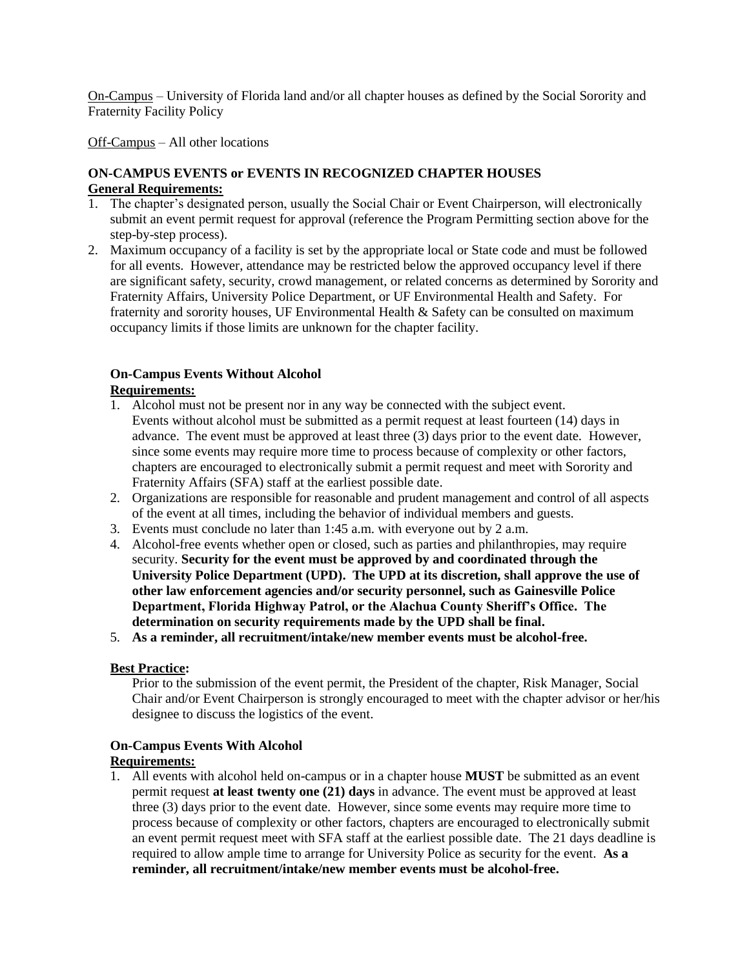On-Campus – University of Florida land and/or all chapter houses as defined by the Social Sorority and Fraternity Facility Policy

Off-Campus – All other locations

## **ON-CAMPUS EVENTS or EVENTS IN RECOGNIZED CHAPTER HOUSES General Requirements:**

- 1. The chapter's designated person, usually the Social Chair or Event Chairperson, will electronically submit an event permit request for approval (reference the Program Permitting section above for the step-by-step process).
- 2. Maximum occupancy of a facility is set by the appropriate local or State code and must be followed for all events. However, attendance may be restricted below the approved occupancy level if there are significant safety, security, crowd management, or related concerns as determined by Sorority and Fraternity Affairs, University Police Department, or UF Environmental Health and Safety. For fraternity and sorority houses, UF Environmental Health & Safety can be consulted on maximum occupancy limits if those limits are unknown for the chapter facility.

# **On-Campus Events Without Alcohol**

## **Requirements:**

- 1. Alcohol must not be present nor in any way be connected with the subject event. Events without alcohol must be submitted as a permit request at least fourteen (14) days in advance. The event must be approved at least three (3) days prior to the event date. However, since some events may require more time to process because of complexity or other factors, chapters are encouraged to electronically submit a permit request and meet with Sorority and Fraternity Affairs (SFA) staff at the earliest possible date.
- 2. Organizations are responsible for reasonable and prudent management and control of all aspects of the event at all times, including the behavior of individual members and guests.
- 3. Events must conclude no later than 1:45 a.m. with everyone out by 2 a.m.
- 4. Alcohol-free events whether open or closed, such as parties and philanthropies, may require security. **Security for the event must be approved by and coordinated through the University Police Department (UPD). The UPD at its discretion, shall approve the use of other law enforcement agencies and/or security personnel, such as Gainesville Police Department, Florida Highway Patrol, or the Alachua County Sheriff's Office. The determination on security requirements made by the UPD shall be final.**

5. **As a reminder, all recruitment/intake/new member events must be alcohol-free.**

#### **Best Practice:**

Prior to the submission of the event permit, the President of the chapter, Risk Manager, Social Chair and/or Event Chairperson is strongly encouraged to meet with the chapter advisor or her/his designee to discuss the logistics of the event.

# **On-Campus Events With Alcohol**

## **Requirements:**

1. All events with alcohol held on-campus or in a chapter house **MUST** be submitted as an event permit request **at least twenty one (21) days** in advance. The event must be approved at least three (3) days prior to the event date. However, since some events may require more time to process because of complexity or other factors, chapters are encouraged to electronically submit an event permit request meet with SFA staff at the earliest possible date. The 21 days deadline is required to allow ample time to arrange for University Police as security for the event. **As a reminder, all recruitment/intake/new member events must be alcohol-free.**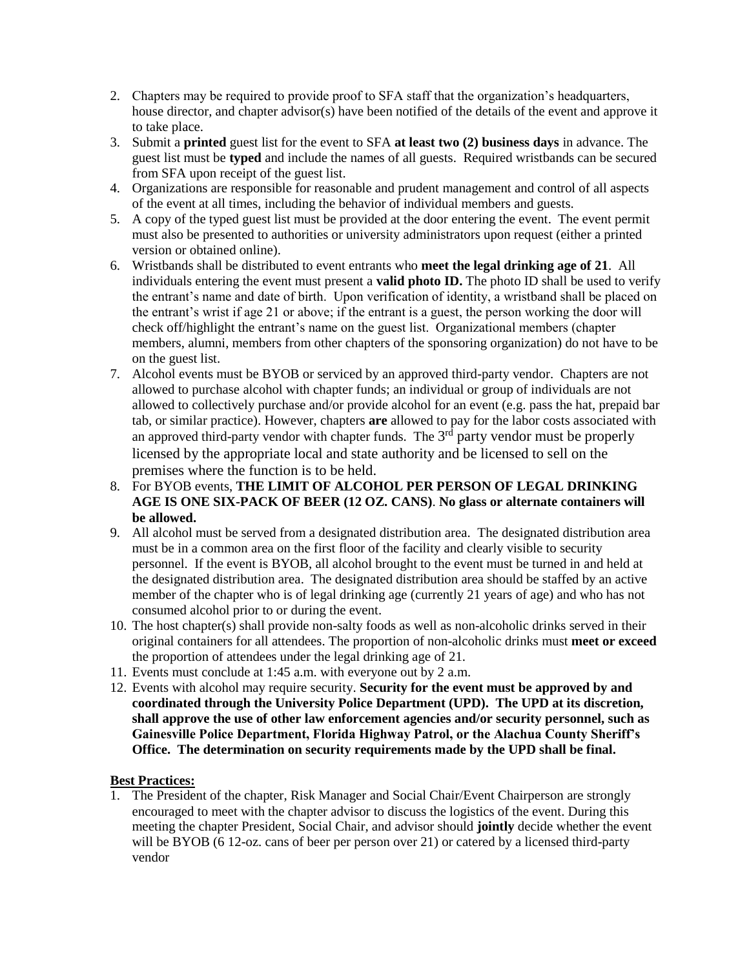- 2. Chapters may be required to provide proof to SFA staff that the organization's headquarters, house director, and chapter advisor(s) have been notified of the details of the event and approve it to take place.
- 3. Submit a **printed** guest list for the event to SFA **at least two (2) business days** in advance. The guest list must be **typed** and include the names of all guests. Required wristbands can be secured from SFA upon receipt of the guest list.
- 4. Organizations are responsible for reasonable and prudent management and control of all aspects of the event at all times, including the behavior of individual members and guests.
- 5. A copy of the typed guest list must be provided at the door entering the event. The event permit must also be presented to authorities or university administrators upon request (either a printed version or obtained online).
- 6. Wristbands shall be distributed to event entrants who **meet the legal drinking age of 21**. All individuals entering the event must present a **valid photo ID.** The photo ID shall be used to verify the entrant's name and date of birth. Upon verification of identity, a wristband shall be placed on the entrant's wrist if age 21 or above; if the entrant is a guest, the person working the door will check off/highlight the entrant's name on the guest list. Organizational members (chapter members, alumni, members from other chapters of the sponsoring organization) do not have to be on the guest list.
- 7. Alcohol events must be BYOB or serviced by an approved third-party vendor. Chapters are not allowed to purchase alcohol with chapter funds; an individual or group of individuals are not allowed to collectively purchase and/or provide alcohol for an event (e.g. pass the hat, prepaid bar tab, or similar practice). However, chapters **are** allowed to pay for the labor costs associated with an approved third-party vendor with chapter funds. The  $3<sup>rd</sup>$  party vendor must be properly licensed by the appropriate local and state authority and be licensed to sell on the premises where the function is to be held.
- 8. For BYOB events, **THE LIMIT OF ALCOHOL PER PERSON OF LEGAL DRINKING AGE IS ONE SIX-PACK OF BEER (12 OZ. CANS)**. **No glass or alternate containers will be allowed.**
- 9. All alcohol must be served from a designated distribution area. The designated distribution area must be in a common area on the first floor of the facility and clearly visible to security personnel. If the event is BYOB, all alcohol brought to the event must be turned in and held at the designated distribution area. The designated distribution area should be staffed by an active member of the chapter who is of legal drinking age (currently 21 years of age) and who has not consumed alcohol prior to or during the event.
- 10. The host chapter(s) shall provide non-salty foods as well as non-alcoholic drinks served in their original containers for all attendees. The proportion of non-alcoholic drinks must **meet or exceed** the proportion of attendees under the legal drinking age of 21.
- 11. Events must conclude at 1:45 a.m. with everyone out by 2 a.m.
- 12. Events with alcohol may require security. **Security for the event must be approved by and coordinated through the University Police Department (UPD). The UPD at its discretion, shall approve the use of other law enforcement agencies and/or security personnel, such as Gainesville Police Department, Florida Highway Patrol, or the Alachua County Sheriff's Office. The determination on security requirements made by the UPD shall be final.**

## **Best Practices:**

1. The President of the chapter, Risk Manager and Social Chair/Event Chairperson are strongly encouraged to meet with the chapter advisor to discuss the logistics of the event. During this meeting the chapter President, Social Chair, and advisor should **jointly** decide whether the event will be BYOB (6 12-oz. cans of beer per person over 21) or catered by a licensed third-party vendor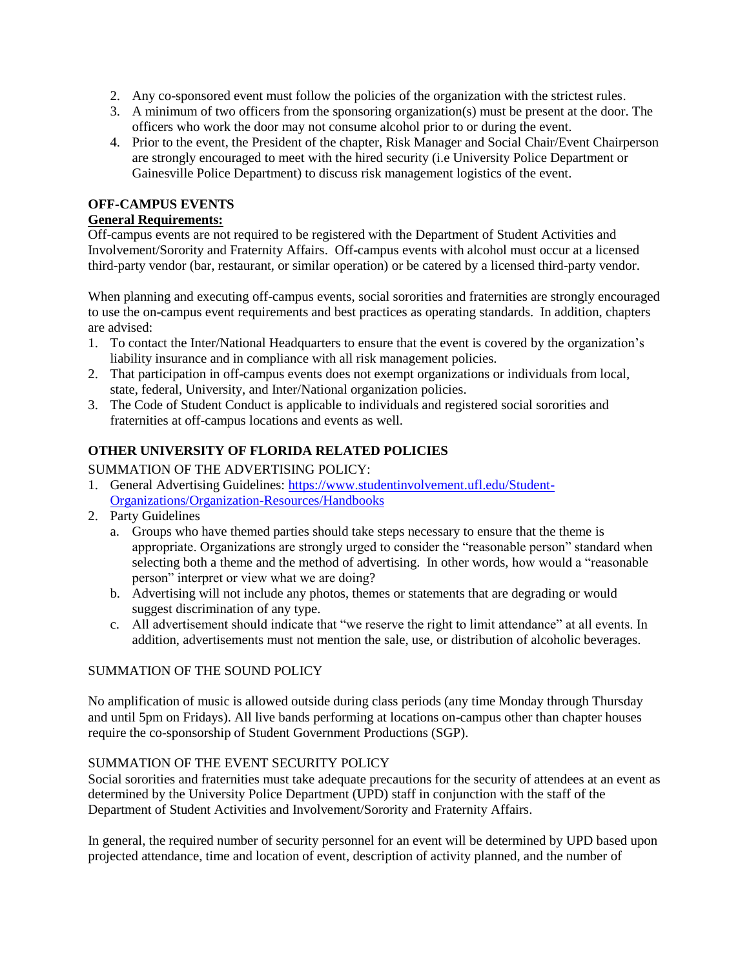- 2. Any co-sponsored event must follow the policies of the organization with the strictest rules.
- 3. A minimum of two officers from the sponsoring organization(s) must be present at the door. The officers who work the door may not consume alcohol prior to or during the event.
- 4. Prior to the event, the President of the chapter, Risk Manager and Social Chair/Event Chairperson are strongly encouraged to meet with the hired security (i.e University Police Department or Gainesville Police Department) to discuss risk management logistics of the event.

# **OFF-CAMPUS EVENTS**

## **General Requirements:**

Off-campus events are not required to be registered with the Department of Student Activities and Involvement/Sorority and Fraternity Affairs. Off-campus events with alcohol must occur at a licensed third-party vendor (bar, restaurant, or similar operation) or be catered by a licensed third-party vendor.

When planning and executing off-campus events, social sororities and fraternities are strongly encouraged to use the on-campus event requirements and best practices as operating standards. In addition, chapters are advised:

- 1. To contact the Inter/National Headquarters to ensure that the event is covered by the organization's liability insurance and in compliance with all risk management policies.
- 2. That participation in off-campus events does not exempt organizations or individuals from local, state, federal, University, and Inter/National organization policies.
- 3. The Code of Student Conduct is applicable to individuals and registered social sororities and fraternities at off-campus locations and events as well.

# **OTHER UNIVERSITY OF FLORIDA RELATED POLICIES**

# SUMMATION OF THE ADVERTISING POLICY:

- 1. General Advertising Guidelines: [https://www.studentinvolvement.ufl.edu/Student-](https://www.studentinvolvement.ufl.edu/Student-Organizations/Organization-Resources/Handbooks)[Organizations/Organization-Resources/Handbooks](https://www.studentinvolvement.ufl.edu/Student-Organizations/Organization-Resources/Handbooks)
- 2. Party Guidelines
	- a. Groups who have themed parties should take steps necessary to ensure that the theme is appropriate. Organizations are strongly urged to consider the "reasonable person" standard when selecting both a theme and the method of advertising. In other words, how would a "reasonable person" interpret or view what we are doing?
	- b. Advertising will not include any photos, themes or statements that are degrading or would suggest discrimination of any type.
	- c. All advertisement should indicate that "we reserve the right to limit attendance" at all events. In addition, advertisements must not mention the sale, use, or distribution of alcoholic beverages.

# SUMMATION OF THE SOUND POLICY

No amplification of music is allowed outside during class periods (any time Monday through Thursday and until 5pm on Fridays). All live bands performing at locations on-campus other than chapter houses require the co-sponsorship of Student Government Productions (SGP).

# SUMMATION OF THE EVENT SECURITY POLICY

Social sororities and fraternities must take adequate precautions for the security of attendees at an event as determined by the University Police Department (UPD) staff in conjunction with the staff of the Department of Student Activities and Involvement/Sorority and Fraternity Affairs.

In general, the required number of security personnel for an event will be determined by UPD based upon projected attendance, time and location of event, description of activity planned, and the number of